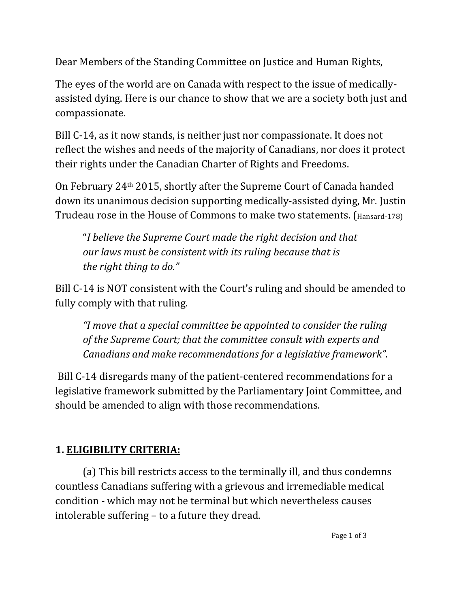Dear Members of the Standing Committee on Justice and Human Rights,

The eyes of the world are on Canada with respect to the issue of medicallyassisted dying. Here is our chance to show that we are a society both just and compassionate.

Bill C-14, as it now stands, is neither just nor compassionate. It does not reflect the wishes and needs of the majority of Canadians, nor does it protect their rights under the Canadian Charter of Rights and Freedoms.

On February 24th 2015, shortly after the Supreme Court of Canada handed down its unanimous decision supporting medically-assisted dying, Mr. Justin Trudeau rose in the House of Commons to make two statements. (Hansard-178)

"*I believe the Supreme Court made the right decision and that our laws must be consistent with its ruling because that is the right thing to do."*

Bill C-14 is NOT consistent with the Court's ruling and should be amended to fully comply with that ruling.

*"I move that a special committee be appointed to consider the ruling of the Supreme Court; that the committee consult with experts and Canadians and make recommendations for a legislative framework".*

Bill C-14 disregards many of the patient-centered recommendations for a legislative framework submitted by the Parliamentary Joint Committee, and should be amended to align with those recommendations.

# **1. ELIGIBILITY CRITERIA:**

(a) This bill restricts access to the terminally ill, and thus condemns countless Canadians suffering with a grievous and irremediable medical condition - which may not be terminal but which nevertheless causes intolerable suffering – to a future they dread.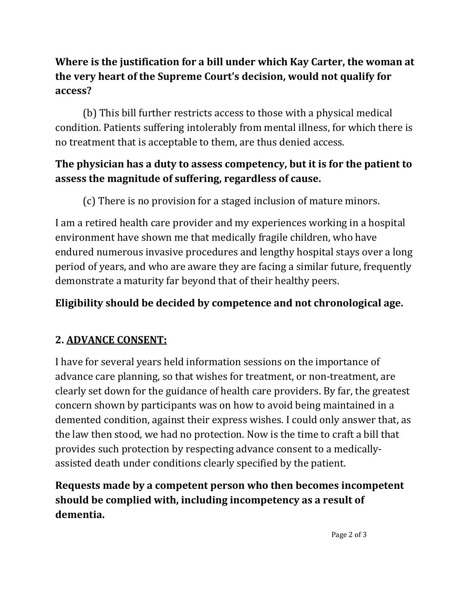### **Where is the justification for a bill under which Kay Carter, the woman at the very heart of the Supreme Court's decision, would not qualify for access?**

(b) This bill further restricts access to those with a physical medical condition. Patients suffering intolerably from mental illness, for which there is no treatment that is acceptable to them, are thus denied access.

### **The physician has a duty to assess competency, but it is for the patient to assess the magnitude of suffering, regardless of cause.**

(c) There is no provision for a staged inclusion of mature minors.

I am a retired health care provider and my experiences working in a hospital environment have shown me that medically fragile children, who have endured numerous invasive procedures and lengthy hospital stays over a long period of years, and who are aware they are facing a similar future, frequently demonstrate a maturity far beyond that of their healthy peers.

# **Eligibility should be decided by competence and not chronological age.**

# **2. ADVANCE CONSENT:**

I have for several years held information sessions on the importance of advance care planning, so that wishes for treatment, or non-treatment, are clearly set down for the guidance of health care providers. By far, the greatest concern shown by participants was on how to avoid being maintained in a demented condition, against their express wishes. I could only answer that, as the law then stood, we had no protection. Now is the time to craft a bill that provides such protection by respecting advance consent to a medicallyassisted death under conditions clearly specified by the patient.

## **Requests made by a competent person who then becomes incompetent should be complied with, including incompetency as a result of dementia.**